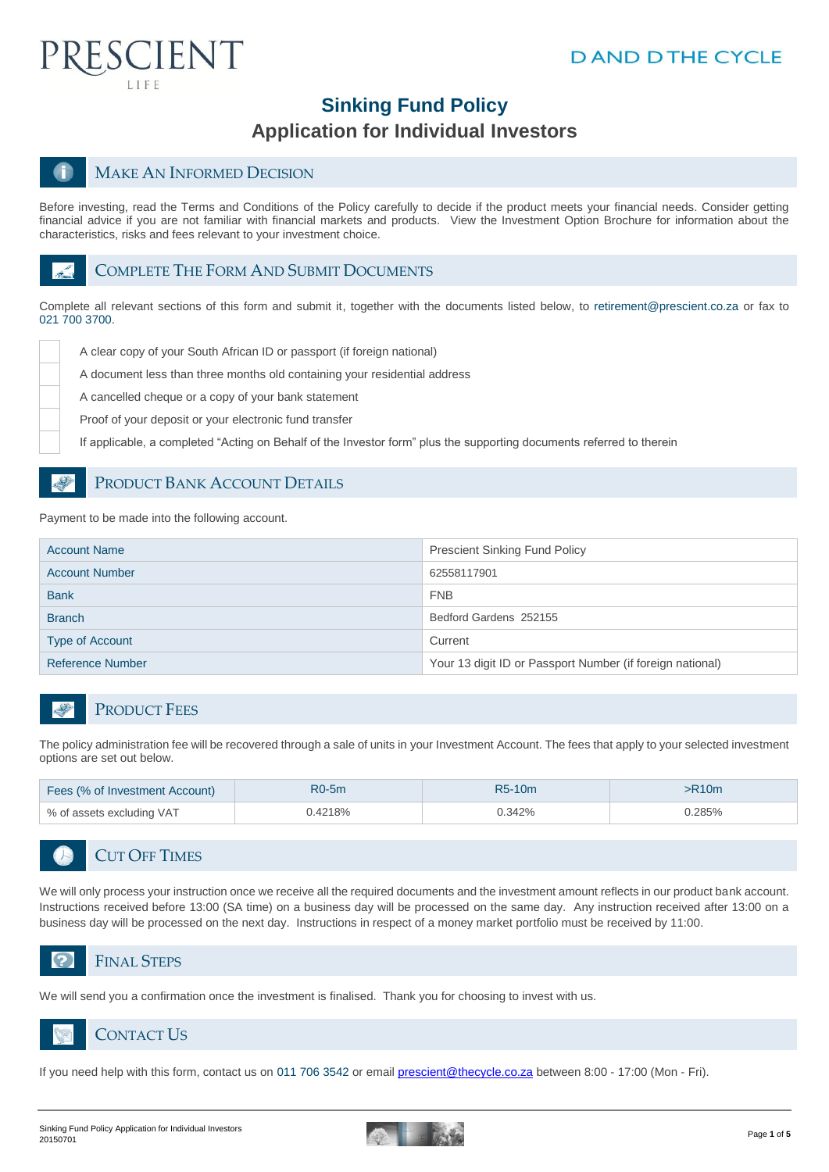

# **Sinking Fund Policy**

## **Application for Individual Investors**

## MAKE AN INFORMED DECISION

Before investing, read the Terms and Conditions of the Policy carefully to decide if the product meets your financial needs. Consider getting financial advice if you are not familiar with financial markets and products. View the Investment Option Brochure for information about the characteristics, risks and fees relevant to your investment choice.

## COMPLETE THE FORM AND SUBMIT DOCUMENTS

Complete all relevant sections of this form and submit it, together with the documents listed below, to retirement@prescient.co.za or fax to 021 700 3700.

- A clear copy of your South African ID or passport (if foreign national)
- A document less than three months old containing your residential address
- A cancelled cheque or a copy of your bank statement
- Proof of your deposit or your electronic fund transfer

If applicable, a completed "Acting on Behalf of the Investor form" plus the supporting documents referred to therein

## PRODUCT BANK ACCOUNT DETAILS

### Payment to be made into the following account.

| <b>Account Name</b>    | <b>Prescient Sinking Fund Policy</b>                      |
|------------------------|-----------------------------------------------------------|
| <b>Account Number</b>  | 62558117901                                               |
| <b>Bank</b>            | <b>FNB</b>                                                |
| <b>Branch</b>          | Bedford Gardens 252155                                    |
| <b>Type of Account</b> | Current                                                   |
| Reference Number       | Your 13 digit ID or Passport Number (if foreign national) |

## PRODUCT FEES

The policy administration fee will be recovered through a sale of units in your Investment Account. The fees that apply to your selected investment options are set out below.

| Fees (% of Investment Account) | $R0-5m$ | R <sub>5</sub> -10 <sub>m</sub> | -R10m |
|--------------------------------|---------|---------------------------------|-------|
| % of assets excluding VAT      | 4218%   | ).342%                          | 285%  |



## CUT OFF TIMES

We will only process your instruction once we receive all the required documents and the investment amount reflects in our product bank account. Instructions received before 13:00 (SA time) on a business day will be processed on the same day. Any instruction received after 13:00 on a business day will be processed on the next day. Instructions in respect of a money market portfolio must be received by 11:00.



We will send you a confirmation once the investment is finalised. Thank you for choosing to invest with us.

## CONTACT US

If you need help with this form, contact us on 011 706 3542 or email [prescient@thecycle.co.za](mailto:prescient@thecycle.co.za) between 8:00 - 17:00 (Mon - Fri).

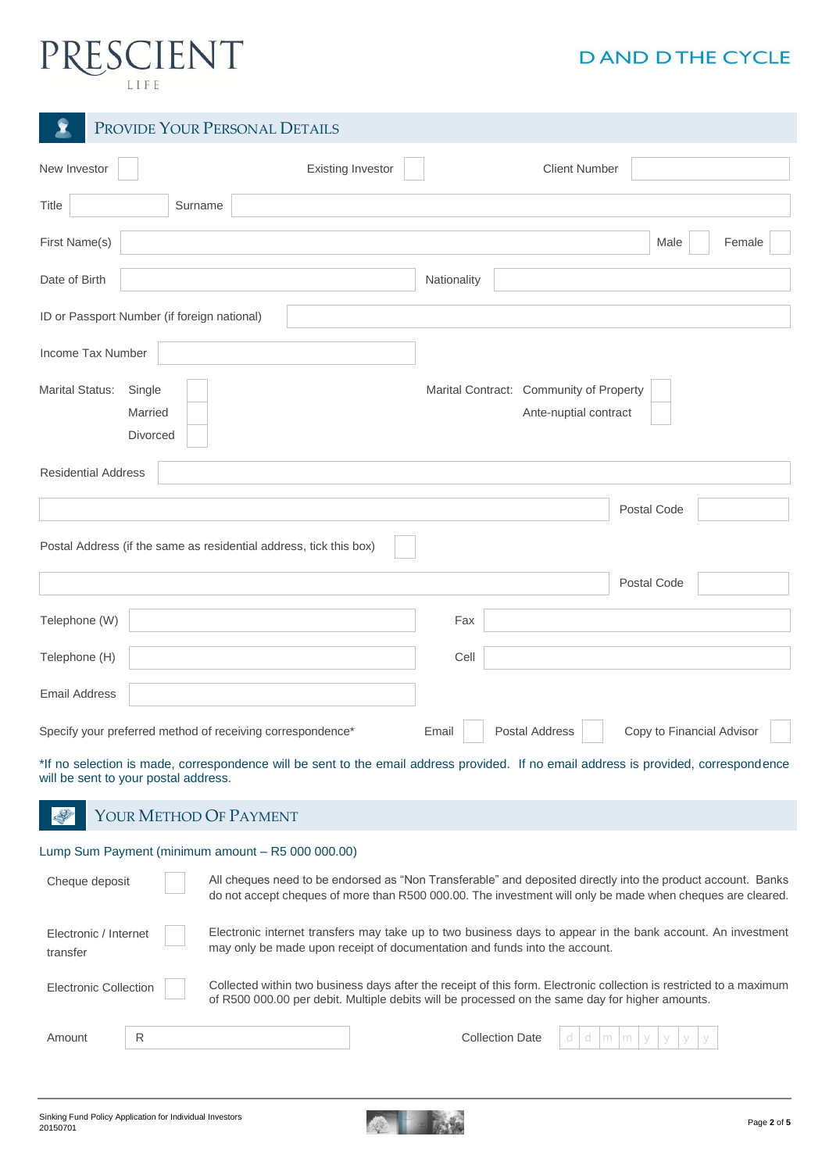# PRESCIENT

# **DAND DTHE CYCLE**

| PROVIDE YOUR PERSONAL DETAILS                                      |                                                                  |
|--------------------------------------------------------------------|------------------------------------------------------------------|
| New Investor<br><b>Existing Investor</b>                           | <b>Client Number</b>                                             |
| Surname<br>Title                                                   |                                                                  |
| First Name(s)                                                      | Female<br>Male                                                   |
| Date of Birth                                                      | Nationality                                                      |
| ID or Passport Number (if foreign national)                        |                                                                  |
| Income Tax Number                                                  |                                                                  |
| <b>Marital Status:</b><br>Single<br>Married<br>Divorced            | Marital Contract: Community of Property<br>Ante-nuptial contract |
| <b>Residential Address</b>                                         |                                                                  |
|                                                                    | Postal Code                                                      |
| Postal Address (if the same as residential address, tick this box) |                                                                  |
|                                                                    | Postal Code                                                      |
| Telephone (W)                                                      | Fax                                                              |
| Telephone (H)                                                      | Cell                                                             |
| <b>Email Address</b>                                               |                                                                  |
| Specify your preferred method of receiving correspondence*         | <b>Postal Address</b><br>Copy to Financial Advisor<br>Email      |

\*If no selection is made, correspondence will be sent to the email address provided. If no email address is provided, correspondence will be sent to your postal address.

| YOUR METHOD OF PAYMENT                                                                                                                                                                                                                          |                                                                                                                                                                                                                            |  |
|-------------------------------------------------------------------------------------------------------------------------------------------------------------------------------------------------------------------------------------------------|----------------------------------------------------------------------------------------------------------------------------------------------------------------------------------------------------------------------------|--|
| Lump Sum Payment (minimum amount - R5 000 000.00)                                                                                                                                                                                               |                                                                                                                                                                                                                            |  |
| Cheque deposit                                                                                                                                                                                                                                  | All cheques need to be endorsed as "Non Transferable" and deposited directly into the product account. Banks<br>do not accept cheques of more than R500 000.00. The investment will only be made when cheques are cleared. |  |
| Electronic / Internet<br>transfer                                                                                                                                                                                                               | Electronic internet transfers may take up to two business days to appear in the bank account. An investment<br>may only be made upon receipt of documentation and funds into the account.                                  |  |
| Collected within two business days after the receipt of this form. Electronic collection is restricted to a maximum<br>Electronic Collection<br>of R500 000.00 per debit. Multiple debits will be processed on the same day for higher amounts. |                                                                                                                                                                                                                            |  |
| R<br>Amount                                                                                                                                                                                                                                     | <b>Collection Date</b><br>d<br>d<br>$m \, m$                                                                                                                                                                               |  |

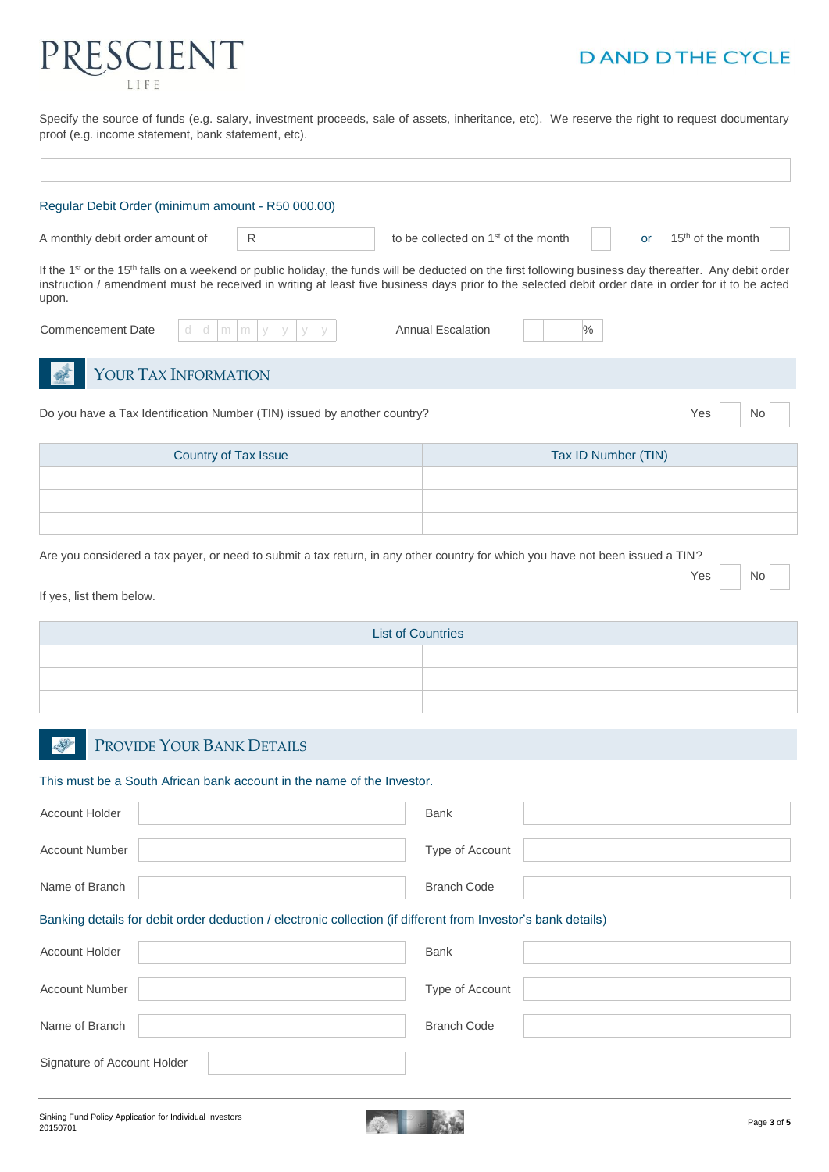

# **DAND DTHE CYCLE**

Yes No

Specify the source of funds (e.g. salary, investment proceeds, sale of assets, inheritance, etc). We reserve the right to request documentary proof (e.g. income statement, bank statement, etc).

| Regular Debit Order (minimum amount - R50 000.00)                                                                                                                                                                                                                                                                                              |                                                                          |                                                 |                     |                               |
|------------------------------------------------------------------------------------------------------------------------------------------------------------------------------------------------------------------------------------------------------------------------------------------------------------------------------------------------|--------------------------------------------------------------------------|-------------------------------------------------|---------------------|-------------------------------|
| A monthly debit order amount of                                                                                                                                                                                                                                                                                                                | R                                                                        | to be collected on 1 <sup>st</sup> of the month | <b>or</b>           | 15 <sup>th</sup> of the month |
| If the 1 <sup>st</sup> or the 15 <sup>th</sup> falls on a weekend or public holiday, the funds will be deducted on the first following business day thereafter. Any debit order<br>instruction / amendment must be received in writing at least five business days prior to the selected debit order date in order for it to be acted<br>upon. |                                                                          |                                                 |                     |                               |
| <b>Commencement Date</b><br>d<br>d                                                                                                                                                                                                                                                                                                             | m<br>m                                                                   | <b>Annual Escalation</b>                        | $\frac{1}{2}$       |                               |
| YOUR TAX INFORMATION                                                                                                                                                                                                                                                                                                                           |                                                                          |                                                 |                     |                               |
|                                                                                                                                                                                                                                                                                                                                                | Do you have a Tax Identification Number (TIN) issued by another country? |                                                 |                     | Yes<br>No.                    |
|                                                                                                                                                                                                                                                                                                                                                | Country of Tax Issue                                                     |                                                 | Tax ID Number (TIN) |                               |
|                                                                                                                                                                                                                                                                                                                                                |                                                                          |                                                 |                     |                               |
|                                                                                                                                                                                                                                                                                                                                                |                                                                          |                                                 |                     |                               |

Are you considered a tax payer, or need to submit a tax return, in any other country for which you have not been issued a TIN?

If yes, list them below.

| <b>List of Countries</b> |  |  |
|--------------------------|--|--|
|                          |  |  |
|                          |  |  |
|                          |  |  |

#### PROVIDE YOUR BANK DETAILS  $\Rightarrow$

### This must be a South African bank account in the name of the Investor.

| <b>Account Holder</b>                                                                                         | <b>Bank</b>        |
|---------------------------------------------------------------------------------------------------------------|--------------------|
| <b>Account Number</b>                                                                                         | Type of Account    |
| Name of Branch                                                                                                | <b>Branch Code</b> |
| Banking details for debit order deduction / electronic collection (if different from Investor's bank details) |                    |
| <b>Account Holder</b>                                                                                         | <b>Bank</b>        |
| <b>Account Number</b>                                                                                         | Type of Account    |
| Name of Branch                                                                                                | <b>Branch Code</b> |
| Signature of Account Holder                                                                                   |                    |

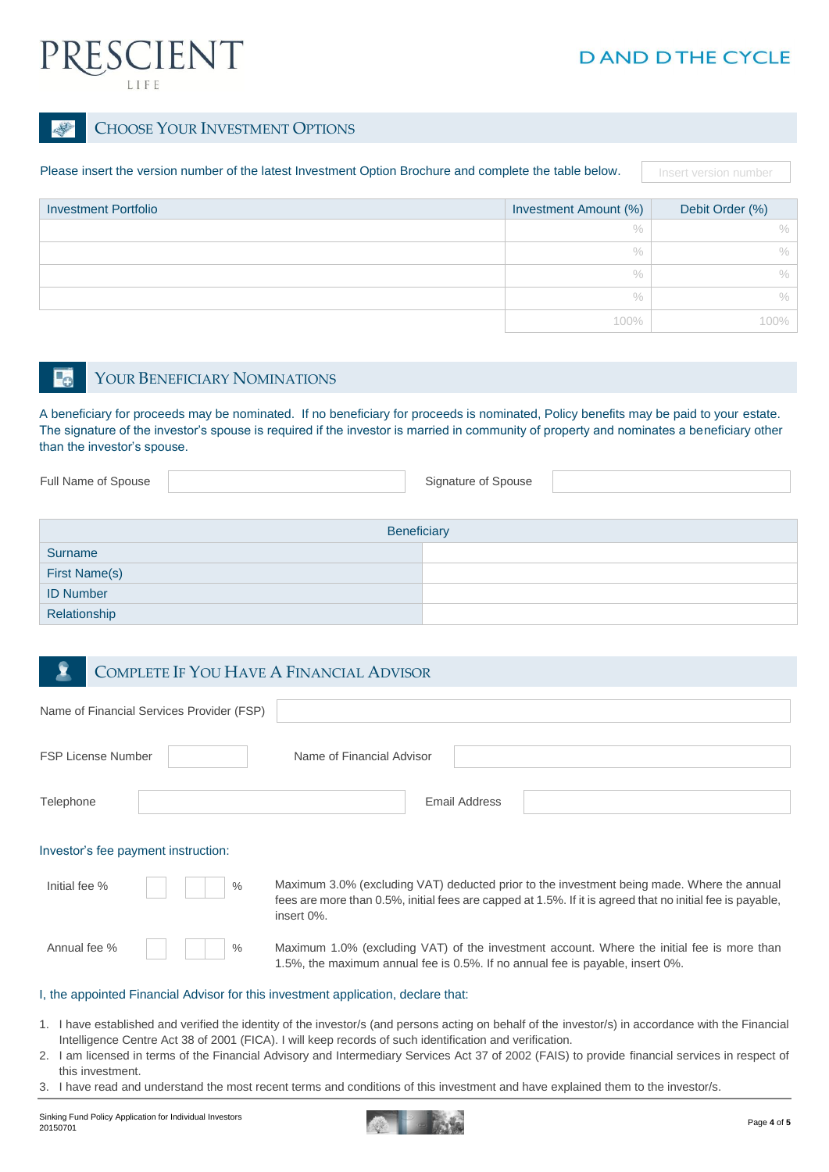# **DAND DTHE CYCLE**



## CHOOSE YOUR INVESTMENT OPTIONS

Please insert the version number of the latest Investment Option Brochure and complete the table below. | Insert version number

| <b>Investment Portfolio</b> | Investment Amount (%) | Debit Order (%) |
|-----------------------------|-----------------------|-----------------|
|                             | $\%$                  | $\%$            |
|                             | $\%$                  | $\frac{0}{0}$   |
|                             | $\%$                  | $\frac{0}{0}$   |
|                             | $\frac{0}{0}$         | $\frac{0}{0}$   |
|                             | 100%                  | 00%             |

## YOUR BENEFICIARY NOMINATIONS

A beneficiary for proceeds may be nominated. If no beneficiary for proceeds is nominated, Policy benefits may be paid to your estate. The signature of the investor's spouse is required if the investor is married in community of property and nominates a beneficiary other than the investor's spouse.

Full Name of Spouse Signature of Spouse Signature of Spouse Signature of Spouse **Beneficiary** Surname

| <b>POLITICITIE</b>   |  |
|----------------------|--|
| <b>First Name(s)</b> |  |
| <b>ID Number</b>     |  |
| Relationship         |  |

## COMPLETE IF YOU HAVE A FINANCIAL ADVISOR

| Name of Financial Services Provider (FSP) |                                                                                                                                                                                                         |
|-------------------------------------------|---------------------------------------------------------------------------------------------------------------------------------------------------------------------------------------------------------|
| <b>FSP License Number</b>                 | Name of Financial Advisor                                                                                                                                                                               |
| Telephone                                 | Email Address                                                                                                                                                                                           |
| Investor's fee payment instruction:       |                                                                                                                                                                                                         |
| Initial fee %<br>$\%$                     | Maximum 3.0% (excluding VAT) deducted prior to the investment being made. Where the annual<br>fees are more than 0.5%, initial fees are capped at 1.5%. If it is agreed that no initial fee is payable, |

insert 0%.

Annual fee % | | | | % Maximum 1.0% (excluding VAT) of the investment account. Where the initial fee is more than 1.5%, the maximum annual fee is 0.5%. If no annual fee is payable, insert 0%.

## I, the appointed Financial Advisor for this investment application, declare that:

- 1. I have established and verified the identity of the investor/s (and persons acting on behalf of the investor/s) in accordance with the Financial Intelligence Centre Act 38 of 2001 (FICA). I will keep records of such identification and verification.
- 2. I am licensed in terms of the Financial Advisory and Intermediary Services Act 37 of 2002 (FAIS) to provide financial services in respect of this investment.
- 3. I have read and understand the most recent terms and conditions of this investment and have explained them to the investor/s.